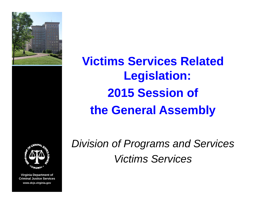

**Legislation: 2015 S i Sess ion ofthe General Assembl y**

**Victims Services Related**



**Virginia Department of Criminal Justice Serviceswww.dcjs.virginia.gov**

*Di i i f P d S i vis ion o Programs an Services Victims Services*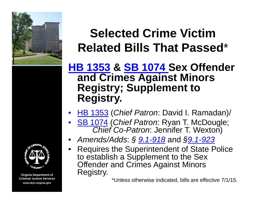



## **Selected Crime Victim Related Bills That Passed**\*

#### **HB** 1353 & SB 1074 Sex Offender **and Crimes Against Minors Registry; Supplement to Registry.**

- •• HB 1353 (*Chief Patron*: David I. Ramadan)/
- • SB 1074 (*Chief Patron*: Ryan T. McDougle; *Chief Co-Patron: Jennifer T. Wexton)*
- •*Amends/Adds* : *§ 9 1. -918* and *§9 1. -923*
- • Requires the Superintendent of State Police to establish a Supplement to the Sex Offender and Crimes Against Minors Registry.

\*Unless otherwise indicated, bills are effective 7/1/15.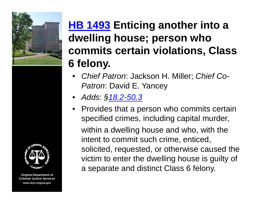



## **HB 1493 Enticing another into a dwelling house; person who commits certain violations, Class 6 felony felony.**

- *Chief Patron*: Jackson H. Miller; *Chief Co-Patron*: David E. Yancey
- *Adds*: *§18.2-50.3*
- Provides that a person who commits certain specified crimes, including capital murder, within a dwelling house and who, with the intent to commit such crime, enticed, solicited, requested, or otherwise caused the victim to enter the dwelling house is guilty of a separate and distinct Class 6 felony.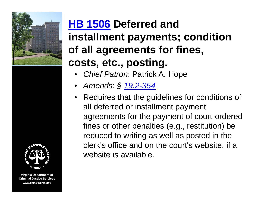



## **HB 1506 Deferred and installment payments; condition of all agreements for fines, costs etc posting costs, etc., posting.**

- *Chief Patron*: Patrick A. Hope
- *Amends*: *§ 19.2-354*
- Requires that the guidelines for conditions of all deferred or installment payment agreements for the payment of court-ordered fines or other penalties (e.g., restitution) be reduced to writing as well as posted in the clerk's office and on the court's website, if a website is available.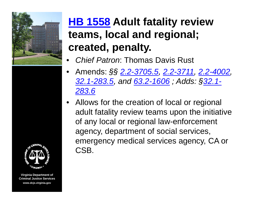



- •*Chief Patron*: Thomas Davis Rust
- Amends: *§§ 2.2-3705.5, 2.2-3711, 2.2-4002, 32.1-283.5, and 63.2-1606 ; Adds: §32.1- 283 6.*
- Allows for the creation of local or regional adult fatality review teams upon the initiative of any local or regional law-enforcement agency, department of social services, emergency medical services agency, CA or CSB.

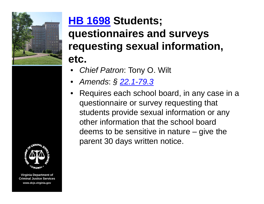

# **etc.**  •••



**Virginia Department of Criminal Justice Serviceswww.dcjs.virginia.gov**

# **HB 1698 Students; q y uestionnaires and surveys requesting sexual information,**

- *Chief Patron*: Tony O. Wilt
- *Amends*: *§ 22.1-79.3*
- Requires each school board, in any case in a questionnaire or survey requesting that students provide sexual information or any other information that the school board deems to be sensitive in nature – give the parent 30 days written notice.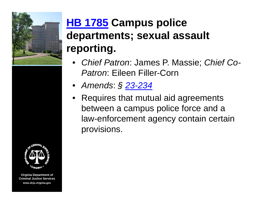



## **HB 1785 Campus police departments; sexual assault reporting.**

- •*Chief Patron: James P. Massie; Chief Co-Patron*: Eileen Filler-Corn
- *Amends*: *§ 23-234*
- Requires that mutual aid agreements between a campus police force and a law-enforcement agency contain certain provisions.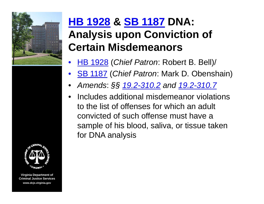



## **HB 1928 & SB 1187 DNA: Analysis** upon Conviction of **Certain Misdemeanors**

- •• HB 1928 (*Chief Patron*: Robert B. Bell)/
- •SB 1187 (*Chief Patron*: Mark D. Obenshain)
- •*Amends*: *§§ 19.2-310.2 and 19.2-310.7*
- • Includes additional misdemeanor violations to the list of offenses for which an adult convicted of such offense must have a sample of his blood, saliva, or tissue taken for DNA analysis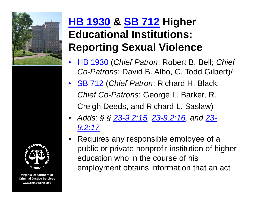

## **HB 1930 & SB 712 Higher Educational Institutions: Reporting Sexual Violence**

- •• HB 1930 (*Chief Patron*: Robert B. Bell; *Chief Co-Patrons*: David B. Albo, C. Todd Gilbert)/
- SB 712 (*Chief Patron*: Richard H. Black; *Chief Co-Patrons*: George L. Barker, R. Creigh Deeds, and Richard L. Saslaw)
- *Adds*: *§ § 23-9.2:15, 23-9.2:16, and 23- 9.2:17*
- •Requires any responsible employee of a public or private nonprofit institution of higher education who in the course of his employment obtains information that an act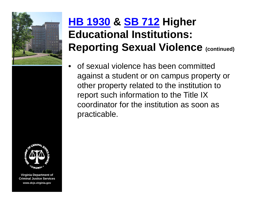



## **HB 1930 & SB 712 Higher Educational Institutions: Reporting Sexual Violence (continued)**

•of sexual violence has been committed against a student or on campus property or other property related to the institution to report such information to the Title IX coordinator for the institution as soon as practicable.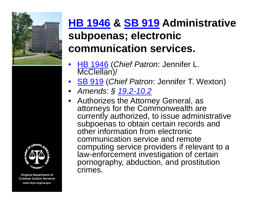



## **HB 1946 & SB 919 Administrative subpoenas; electronic communication services.**

- •• HB 1946 (*Chief Patron*: Jennifer L. McClellan)/
- SB 919 (*Chief Patron*: Jennifer T. Wexton)
- *A d men ds*: *§ 19 2. -10 2.*
- • Authorizes the Attorney General, as attorneys for the Commonwealth are currently authorized, to issue administrative subpoenas to obtain certain records and other information from electronic communication service and remote computing service providers if relevant to a law-enforcement investigation of certain pornography, abduction, and prostitution crimes.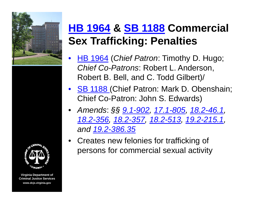



## **HB 1964 & SB 1188 Commercial Sex Trafficking: Penalties**

- • HB 1964 (*Chief Patron*: Timothy D. Hugo; *Chief Co-Patrons*: Robert L. Anderson, Robert B. Bell, and C. Todd Gilbert)/
- SB 1188 (Chief Patron: Mark D. Obenshain; Chief Co-Patron: John S. Edwards)
- • *Amends*: *§§ 9.1-902, 17.1-805, 18.2-46.1, 18.2-356, 18.2-357, 18.2-513, 19.2-215.1, and 19.2-386.35*
- •Creates new felonies for trafficking of persons for commercial sexual activity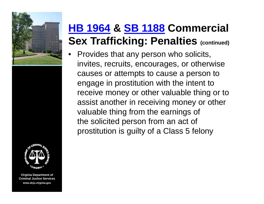



## **HB 1964 & SB 1188 Commercial Sex Trafficking: Penalties (continued)**

• Provides that any person who solicits, invites, recruits, encourages, or otherwise causes or attempts to cause a person to engage in prostitution with the intent to receive money or other valuable thing or to assist another in receiving money or other valuable thing from the earnings of the solicited person from an act of prostitution is guilty of a Class 5 felony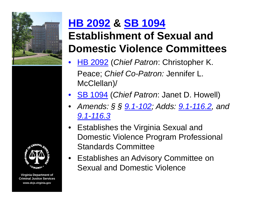



## **HB 2092 & SB 1094 Establishment of Sexual and Domestic Violence Committees**

- •• HB 2092 (*Chief Patron*: Christopher K. Peace; *Chief Co-Patron:* Jennifer L. McClellan)/
- SB 1094 (*Chief Patron*: Janet D. Howell)
- • *Amends: § § 9.1-102; Adds: 9.1-116.2, and 9 1. -116 3.*
- Establishes the Virginia Sexual and Domestic Violence Program Professional Standards Committee
- Establishes an Advisory Committee on Sexual and Domestic Violence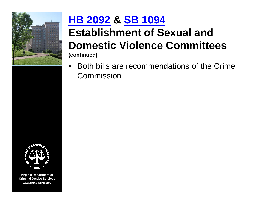

## **HB 2092 & SB 1094**

#### **Establishment of Sexual and Domestic Violence Committees (continued)**

 $\bullet$  $\bullet$  Both bills are recommendations of the Crime Commission.

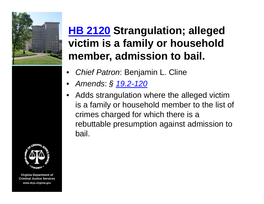

**HB 2120 Strangulation; alleged victim is a family or household member, admission to bail.** 

- •*Chief Patron*: Benjamin L. Cline
- •*Amends*: *§ 19.2-120*
- • Adds strangulation where the alleged victim is a family or household member to the list of crimes charged for which there is a rebuttable presumption against admission to bail.

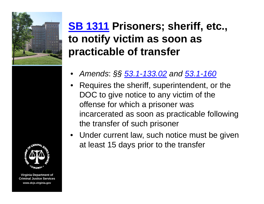

### **SB 1311 Prisoners; sheriff, etc., to notify victim as soon as as soon practicable of transfer**

- •*Amends*: *§§ 53.1-133.02 and 53.1-160*
- •Requires the sheriff, superintendent, or the DOC to give notice to any victim of the offense for which a prisoner was incarcerated as soon as practicable following the transfer of such prisoner
- Under current law, such notice must be given at least 15 days prior to the transfer

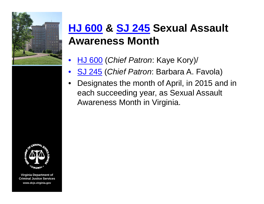

**VAGINI** 

**Virginia Department of Criminal Justice Serviceswww.dcjs.virginia.gov**

## **HJ 600 & SJ 245 Sexual Assault A M th wareness Month**

- •HJ 600 (*Chief Patron*: Kaye Kory)/
- $\bullet$ SJ 245 (*Chief Patron*: Barbara A. Favola)
- • Designates the month of April, in 2015 and in each succeeding year, as Sexual Assault Awareness Month in Virginia.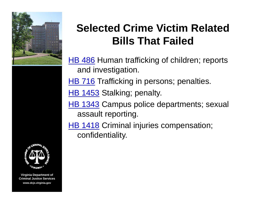



## **Selected Crime Victim Related Bills That Failed**

- HB 486 Human trafficking of children; reports and investigation.
- HB 716 Trafficking in persons; penalties.
- HB 1453 Stalking; penalty.
- HB 1343 Campus police departments; sexual assault reporting.
- HB 1418 Criminal injuries compensation; confidentiality.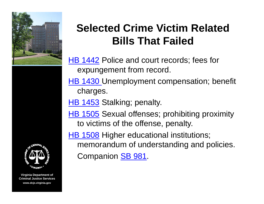



## **Selected Crime Victim Related Bills That Failed**

- HB 1442 Police and court records; fees for expungement from record.
- HB 1430 Unemployment compensation; benefit c harges.
- HB 1453 Stalking; penalty.
- HB 1505 Sexual offenses; prohibiting proximity to victims of the offense, penalty.
- HB 1508 Higher educational institutions; memorandum of understanding and policies. Companion **SB 981**.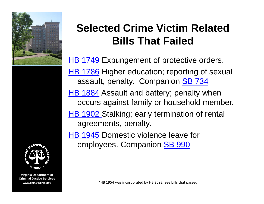



**Virginia Department of Criminal Justice Services**

## **Selected Crime Victim Related Bills That Failed**

<u>HB 1749</u> Expungement of protective orders. HB 1786 Higher education; reporting of sexual assault, penalty. Companion SB 734 HB 1884 Assault and battery; penalty when occurs against family or household member. HB 1902 Stalking; early termination of rental agreements, penalty. HB 1945 Domestic violence leave for

employees. Companion SB 990

**www.dcjs.virginia.gov** \*HB 1954 was incorporated by HB 2092 (see bills that passed).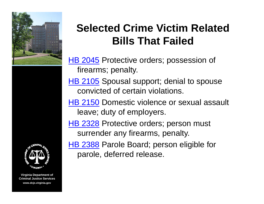



## **Selected Crime Victim Related Bills That Failed**

HB 2045 Protective orders; possession of firearms; penalty.

HB 2105 Spousal support; denial to spouse convicted of certain violations.

HB 2150 Domestic violence or sexual assault leave; duty of employers.

HB 2328 Protective orders; person must surrender any firearms, penalty.

HB 2388 Parole Board; person eligible for parole, deferred release.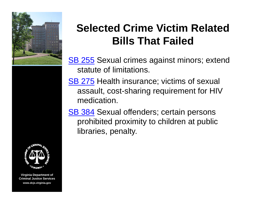



## **Selected Crime Victim Related Bills That Failed**

SB 255 Sexual crimes against minors; extend statute of limitations.

SB 275 Health insurance; victims of sexual assault, cost-sharing requirement for HIV medication.

<u>SB 384</u> Sexual offenders; certain persons prohibited proximity to children at public libraries, penalty.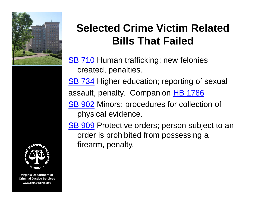



## **Selected Crime Victim Related Bills That Failed**

SB 710 Human trafficking; new felonies created, penalties.

SB 734 Higher education; reporting of sexual

assault, penalty. Companion HB 1786

SB 902 Minors; procedures for collection of physical evidence.

SB 909 Protective orders; person subject to an order is prohibited from possessing a firearm, penalty.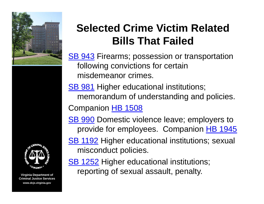



## **Selected Crime Victim Related Bills That Failed**

SB 943 Firearms; possession or transportation following convictions for certain misdemeanor crimes.

SB 981 Higher educational institutions; memorandum of understanding and policies. Companion HB 1508

SB 990 Domestic violence leave; employers to provide for employees. Companion HB 1945

<u>SB 1192</u> Higher educational institutions; sexual misconduct policies.

SB 1252 Hi gher educational institutions; reporting of sexual assault, penalty.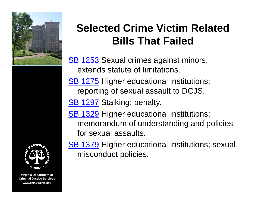



## **Selected Crime Victim Related Bills That Failed**

<u>SB 1253</u> Sexual crimes against minors; extends statute of limitations.

SB 1275 Higher educational institutions; reporting of sexual assault to DCJS.

SB 1297 Stalking; penalty.

<u>SB 1329</u> Higher educational institutions; memorandum of understanding and policies for sexual assaults.

SB 1379 Higher educational institutions; sexual misconduct policies.